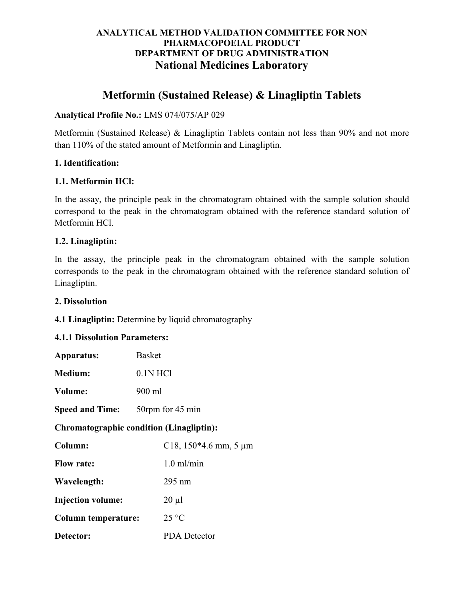# **Metformin (Sustained Release) & Linagliptin Tablets**

#### **Analytical Profile No.:** LMS 074/075/AP 029

Metformin (Sustained Release) & Linagliptin Tablets contain not less than 90% and not more than 110% of the stated amount of Metformin and Linagliptin.

#### **1. Identification:**

#### **1.1. Metformin HCl:**

In the assay, the principle peak in the chromatogram obtained with the sample solution should correspond to the peak in the chromatogram obtained with the reference standard solution of Metformin HCl.

## **1.2. Linagliptin:**

In the assay, the principle peak in the chromatogram obtained with the sample solution corresponds to the peak in the chromatogram obtained with the reference standard solution of Linagliptin.

#### **2. Dissolution**

## **4.1 Linagliptin:** Determine by liquid chromatography

#### **4.1.1 Dissolution Parameters:**

| <b>Apparatus:</b>                               | <b>Basket</b>           |  |
|-------------------------------------------------|-------------------------|--|
| <b>Medium:</b>                                  | $0.1N$ HCl              |  |
| Volume:                                         | 900 ml                  |  |
| <b>Speed and Time:</b>                          | 50rpm for 45 min        |  |
| <b>Chromatographic condition (Linagliptin):</b> |                         |  |
| Column:                                         | C18, $150*4.6$ mm, 5 µm |  |
| <b>Flow rate:</b>                               | $1.0$ ml/min            |  |
| Wavelength:                                     | $295 \text{ nm}$        |  |
| <b>Injection volume:</b>                        | $20 \mu l$              |  |
| <b>Column temperature:</b>                      | $25^{\circ}$ C          |  |
| Detector:                                       | <b>PDA</b> Detector     |  |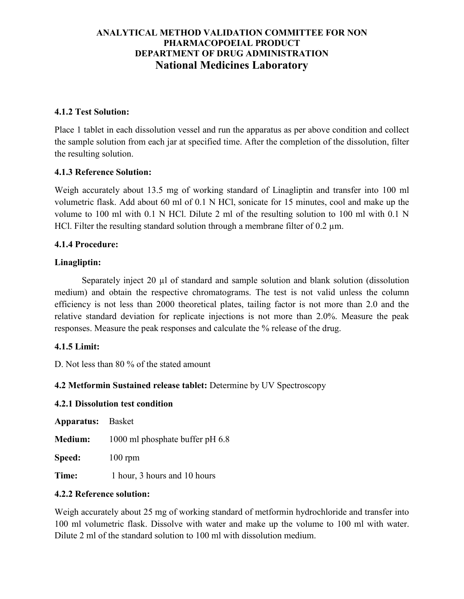#### **4.1.2 Test Solution:**

Place 1 tablet in each dissolution vessel and run the apparatus as per above condition and collect the sample solution from each jar at specified time. After the completion of the dissolution, filter the resulting solution.

#### **4.1.3 Reference Solution:**

Weigh accurately about 13.5 mg of working standard of Linagliptin and transfer into 100 ml volumetric flask. Add about 60 ml of 0.1 N HCl, sonicate for 15 minutes, cool and make up the volume to 100 ml with 0.1 N HCl. Dilute 2 ml of the resulting solution to 100 ml with 0.1 N HCl. Filter the resulting standard solution through a membrane filter of  $0.2 \mu m$ .

#### **4.1.4 Procedure:**

#### **Linagliptin:**

Separately inject 20 µl of standard and sample solution and blank solution (dissolution medium) and obtain the respective chromatograms. The test is not valid unless the column efficiency is not less than 2000 theoretical plates, tailing factor is not more than 2.0 and the relative standard deviation for replicate injections is not more than 2.0%. Measure the peak responses. Measure the peak responses and calculate the % release of the drug.

#### **4.1.5 Limit:**

D. Not less than 80 % of the stated amount

## **4.2 Metformin Sustained release tablet:** Determine by UV Spectroscopy

#### **4.2.1 Dissolution test condition**

| <b>Apparatus:</b> Basket |                                 |
|--------------------------|---------------------------------|
| <b>Medium:</b>           | 1000 ml phosphate buffer pH 6.8 |
| <b>Speed:</b>            | $100$ rpm                       |
| Time:                    | 1 hour, 3 hours and 10 hours    |

#### **4.2.2 Reference solution:**

Weigh accurately about 25 mg of working standard of metformin hydrochloride and transfer into 100 ml volumetric flask. Dissolve with water and make up the volume to 100 ml with water. Dilute 2 ml of the standard solution to 100 ml with dissolution medium.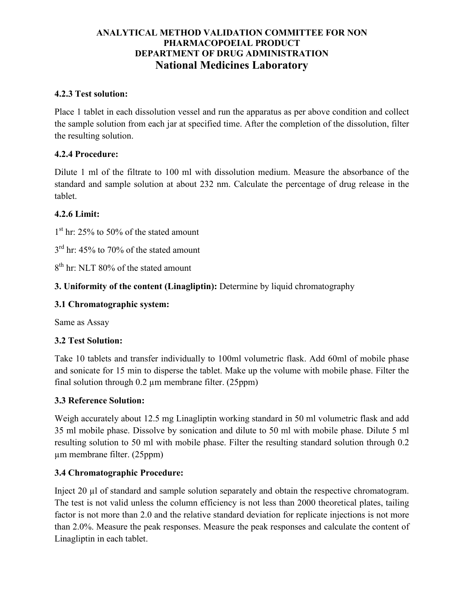#### **4.2.3 Test solution:**

Place 1 tablet in each dissolution vessel and run the apparatus as per above condition and collect the sample solution from each jar at specified time. After the completion of the dissolution, filter the resulting solution.

#### **4.2.4 Procedure:**

Dilute 1 ml of the filtrate to 100 ml with dissolution medium. Measure the absorbance of the standard and sample solution at about 232 nm. Calculate the percentage of drug release in the tablet.

#### **4.2.6 Limit:**

 $1<sup>st</sup>$  hr: 25% to 50% of the stated amount

3<sup>rd</sup> hr: 45% to 70% of the stated amount

8<sup>th</sup> hr: NLT 80% of the stated amount

## **3. Uniformity of the content (Linagliptin):** Determine by liquid chromatography

#### **3.1 Chromatographic system:**

Same as Assay

## **3.2 Test Solution:**

Take 10 tablets and transfer individually to 100ml volumetric flask. Add 60ml of mobile phase and sonicate for 15 min to disperse the tablet. Make up the volume with mobile phase. Filter the final solution through  $0.2 \mu$ m membrane filter. (25ppm)

#### **3.3 Reference Solution:**

Weigh accurately about 12.5 mg Linagliptin working standard in 50 ml volumetric flask and add 35 ml mobile phase. Dissolve by sonication and dilute to 50 ml with mobile phase. Dilute 5 ml resulting solution to 50 ml with mobile phase. Filter the resulting standard solution through 0.2 µm membrane filter. (25ppm)

## **3.4 Chromatographic Procedure:**

Inject 20 µl of standard and sample solution separately and obtain the respective chromatogram. The test is not valid unless the column efficiency is not less than 2000 theoretical plates, tailing factor is not more than 2.0 and the relative standard deviation for replicate injections is not more than 2.0%. Measure the peak responses. Measure the peak responses and calculate the content of Linagliptin in each tablet.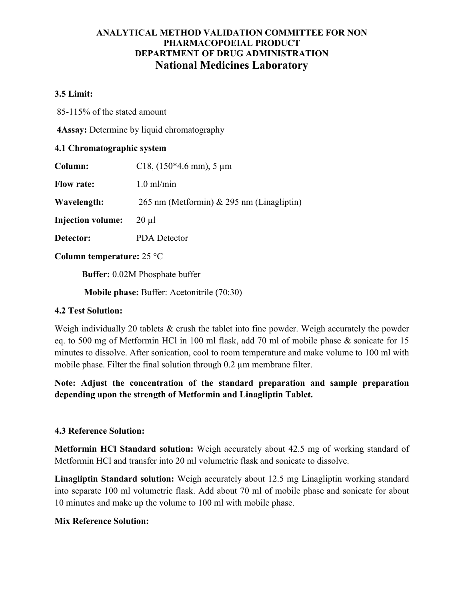#### **3.5 Limit:**

85-115% of the stated amount

**4Assay:** Determine by liquid chromatography

#### **4.1 Chromatographic system**

| Column:                   | C18, $(150*4.6$ mm), 5 µm                 |  |
|---------------------------|-------------------------------------------|--|
| <b>Flow rate:</b>         | $1.0 \text{ ml/min}$                      |  |
| Wavelength:               | 265 nm (Metformin) & 295 nm (Linagliptin) |  |
| <b>Injection volume:</b>  | $20 \mu l$                                |  |
| Detector:                 | <b>PDA</b> Detector                       |  |
| Column temperature: 25 °C |                                           |  |
|                           | <b>Buffer:</b> 0.02M Phosphate buffer     |  |

**Mobile phase:** Buffer: Acetonitrile (70:30)

## **4.2 Test Solution:**

Weigh individually 20 tablets & crush the tablet into fine powder. Weigh accurately the powder eq. to 500 mg of Metformin HCl in 100 ml flask, add 70 ml of mobile phase & sonicate for 15 minutes to dissolve. After sonication, cool to room temperature and make volume to 100 ml with mobile phase. Filter the final solution through 0.2 µm membrane filter.

**Note: Adjust the concentration of the standard preparation and sample preparation depending upon the strength of Metformin and Linagliptin Tablet.**

#### **4.3 Reference Solution:**

**Metformin HCl Standard solution:** Weigh accurately about 42.5 mg of working standard of Metformin HCl and transfer into 20 ml volumetric flask and sonicate to dissolve.

**Linagliptin Standard solution:** Weigh accurately about 12.5 mg Linagliptin working standard into separate 100 ml volumetric flask. Add about 70 ml of mobile phase and sonicate for about 10 minutes and make up the volume to 100 ml with mobile phase.

## **Mix Reference Solution:**